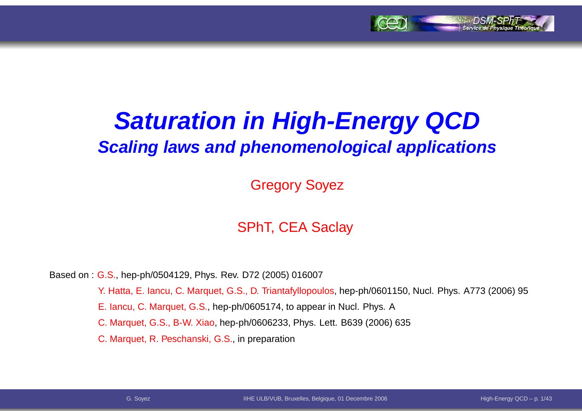

# **Saturation in High-Energy QCDScaling laws and phenomenological applications**

Gregory Soyez

#### SPhT, CEA Saclay

Based on : G.S., hep-ph/0504129, Phys. Rev. D72 (2005) 016007

Y. Hatta, E. Iancu, C. Marquet, G.S., D. Triantafyllopoulos, hep-ph/0601150, Nucl. Phys. A773 (2006) 95

E. Iancu, C. Marquet, G.S., hep-ph/0605174, to appear in Nucl. Phys. A

C. Marquet, G.S., B-W. Xiao, hep-ph/0606233, Phys. Lett. B639 (2006) 635

C. Marquet, R. Peschanski, G.S., in preparation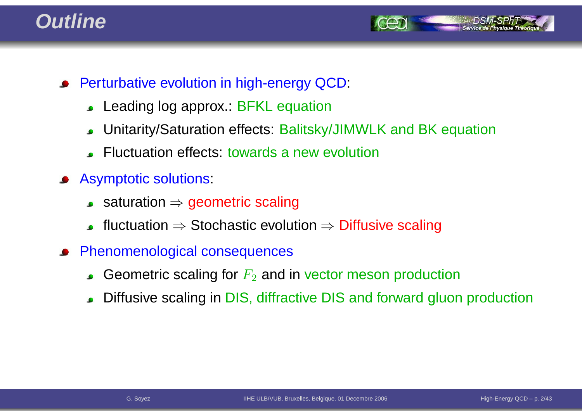#### **Outline**



- **•** Perturbative evolution in high-energy QCD:
	- Leading log approx.: BFKL equation $\bullet$
	- Unitarity/Saturation effects: Balitsky/JIMWLK and BK equation $\bullet$
	- Fluctuation effects: towards <sup>a</sup> new evolution
- Asymptotic solutions:
	- saturation <sup>⇒</sup> geometric scaling
	- fluctuation  $\Rightarrow$  Stochastic evolution  $\Rightarrow$  Diffusive scaling
- Phenomenological consequences
	- Geometric scaling for  $F_2$  and in vector meson production
	- Diffusive scaling in DIS, diffractive DIS and forward gluon production  $\bullet$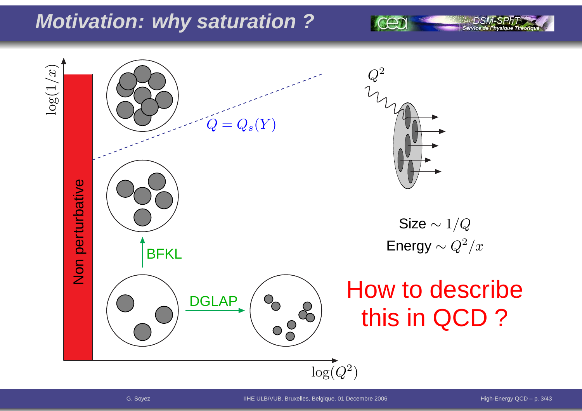## **Motivation: why saturation ?**

 $\log(1/x)$ 2 $\,Q\,$  $=Q_s(Y)$  $\pmb Q$ Non perturbative Size  $\sim 1/Q$ Energy  $\sim Q^2/x$ **BFKL** How to describe**DGLAP**  $\begin{pmatrix} 8 & 8 \\ 0 & 8 \end{pmatrix}$ this in QCD ? $\log(Q^2$  $^{2})$ 

Service de Ph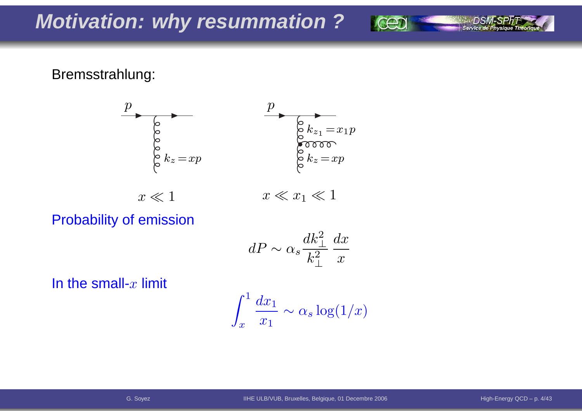#### Bremsstrahlung:



Probability of emission

$$
dP \sim \alpha_s \frac{dk_\perp^2}{k_\perp^2} \frac{dx}{x}
$$

In the small- $x$  limit

$$
\int_x^1 \frac{dx_1}{x_1} \sim \alpha_s \log(1/x)
$$

Service de Physique Théori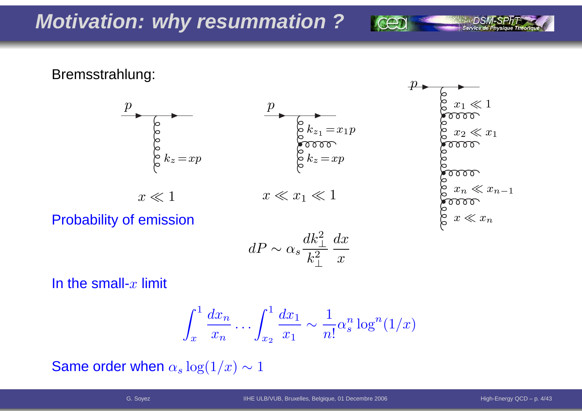Bremsstrahlung:





Probability of emission

$$
dP \sim \alpha_s \frac{dk_\perp^2}{k_\perp^2} \frac{dx}{x}
$$

In the small- $x$  limit

$$
\int_x^1 \frac{dx_n}{x_n} \dots \int_{x_2}^1 \frac{dx_1}{x_1} \sim \frac{1}{n!} \alpha_s^n \log^n(1/x)
$$

Same order when  $\alpha_s \log(1/x) \sim 1$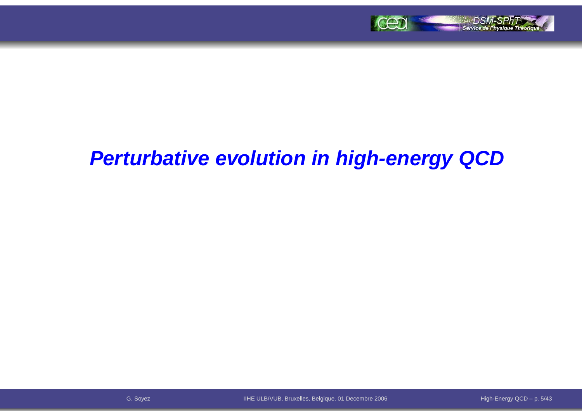

### **Perturbative evolution in high-energy QCD**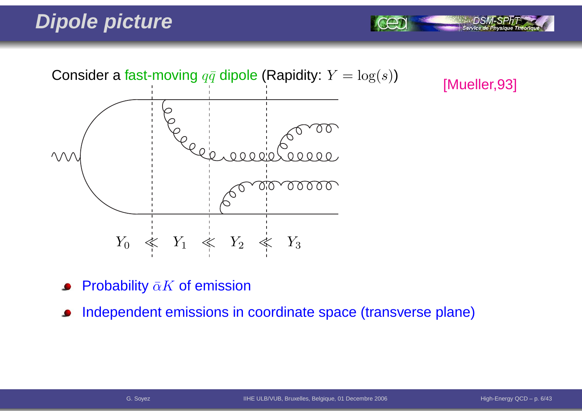# **Dipole picture**



[Mueller,93]

Service de Physi

- Probability  $\bar{\alpha}K$  of emission
- Independent emissions in coordinate space (transverse plane) $\bullet$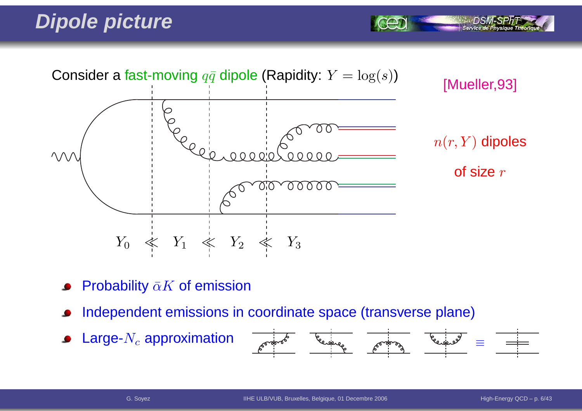# **Dipole picture**



- Probability  $\bar{\alpha}K$  of emission
- Independent emissions in coordinate space (transverse plane)
- Large- $N_c$  approximation  $\bullet$



Service de Physiq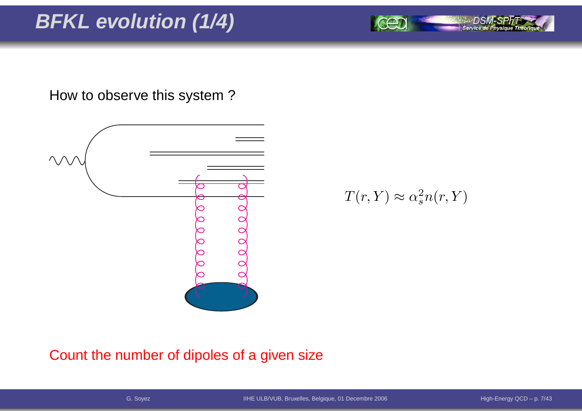# **BFKL evolution (1/4)**

How to observe this system ?



 $T(r,Y)\approx\alpha_s^2$  $\frac{2}{s}n(r,Y)$ 

Count the number of dipoles of <sup>a</sup> given size

Service de Physique Théoriq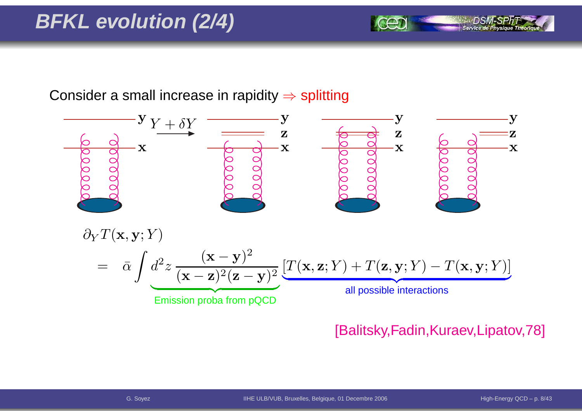# **BFKL evolution (2/4)**

Consider a small increase in rapidity  $\Rightarrow$  splitting



#### [Balitsky,Fadin,Kuraev,Lipatov,78]

Service de Pl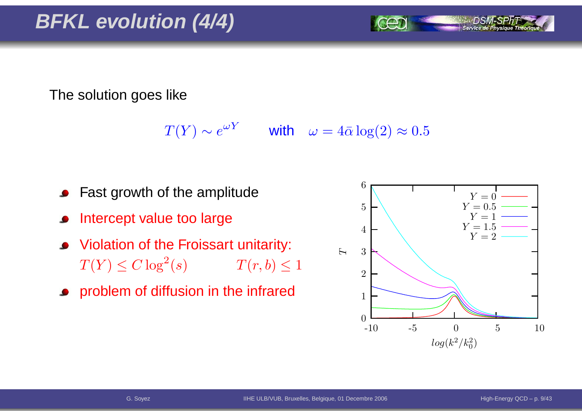The solution goes like

 $T(Y) \sim e^{\omega Y}$  with  $\omega = 4\bar{\alpha} \log(2) \approx 0.5$ 

- Fast growth of the amplitude
- Intercept value too large
- Violation of the Froissart unitarity:  $T(Y) \leq C \log^2$  $T(r, b) \leq 1$
- **•** problem of diffusion in the infrared

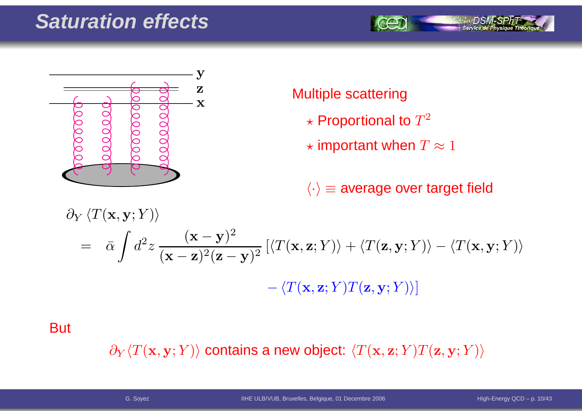## **Saturation effects**





#### Multiple scattering

- $\star$  Proportional to  $T^2$
- $\star$  important when  $T\approx 1$

 $\langle \cdot \rangle$   $\equiv$  average over target field

$$
\partial_Y \langle T(\mathbf{x}, \mathbf{y}; Y) \rangle
$$
  
=  $\bar{\alpha} \int d^2 z \frac{(\mathbf{x} - \mathbf{y})^2}{(\mathbf{x} - \mathbf{z})^2 (\mathbf{z} - \mathbf{y})^2} \left[ \langle T(\mathbf{x}, \mathbf{z}; Y) \rangle + \langle T(\mathbf{z}, \mathbf{y}; Y) \rangle - \langle T(\mathbf{x}, \mathbf{y}; Y) \rangle \right]$   
-  $\langle T(\mathbf{x}, \mathbf{z}; Y) T(\mathbf{z}, \mathbf{y}; Y) \rangle$ 

**But** 

 $\partial_Y \langle T(\mathbf{x},\mathbf{y}; Y) \rangle$  contains a new object:  $\langle T(\mathbf{x},\mathbf{z}; Y) T(\mathbf{z},\mathbf{y}; Y) \rangle$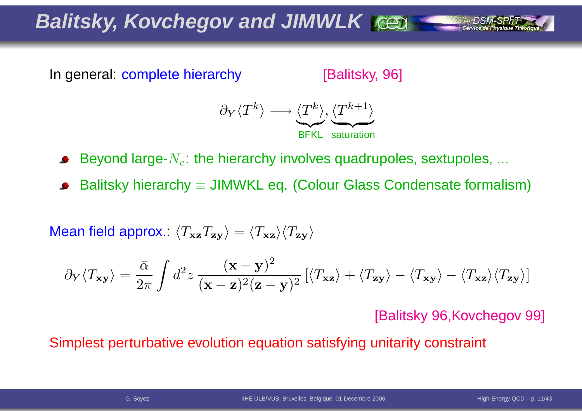**Balitsky, Kovchegov and JIMWLK**

In general: complete hierarchy

[Balitsky, 96]



Beyond large- $N_c$ : the hierarchy involves quadrupoles, sextupoles, ...

Balitsky hierarchy  $\equiv$  JIMWKL eq. (Colour Glass Condensate formalism)

Mean field approx.:  $\langle T_{\bf x z}T_{\bf z y}\rangle=\langle T_{\bf x z}\rangle\langle T_{\bf z y}\rangle$ 

$$
\partial_Y \langle T_{\mathbf{x} \mathbf{y}} \rangle = \frac{\bar{\alpha}}{2\pi} \int d^2 z \, \frac{(\mathbf{x} - \mathbf{y})^2}{(\mathbf{x} - \mathbf{z})^2 (\mathbf{z} - \mathbf{y})^2} \left[ \langle T_{\mathbf{x} \mathbf{z}} \rangle + \langle T_{\mathbf{z} \mathbf{y}} \rangle - \langle T_{\mathbf{x} \mathbf{z}} \rangle \langle T_{\mathbf{z} \mathbf{y}} \rangle \right]
$$

[Balitsky 96,Kovchegov 99]

Simplest perturbative evolution equation satisfying unitarity constraint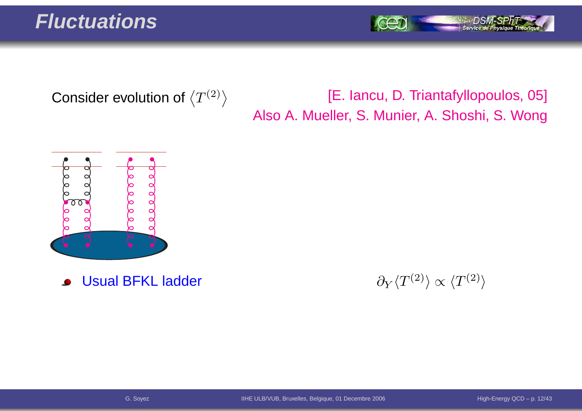#### **Fluctuations**

Service de Physique Théori

Consider evolution of  $\left\langle T^{(2)}\right\rangle$ 

#### [E. Iancu, D. Triantafyllopoulos, 05] Also A. Mueller, S. Munier, A. Shoshi, S. Wong



Usual BFKL ladder $\bullet$ 

r and  $\partial_Y$  $\partial_Y \langle T^{(2)} \rangle \propto \langle T^{(2)} \rangle$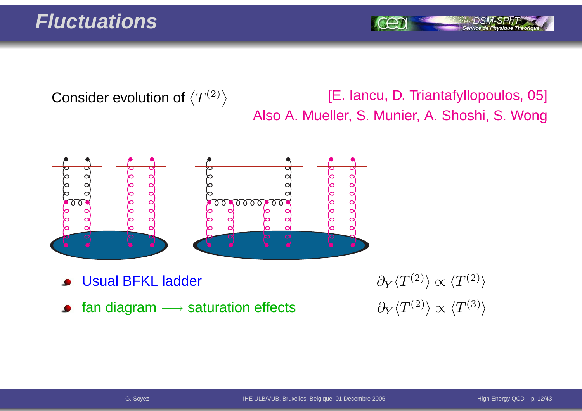#### **Fluctuations**

Service de Pl

Consider evolution of  $\left\langle T^{(2)}\right\rangle$ 

[E. Iancu, D. Triantafyllopoulos, 05] Also A. Mueller, S. Munier, A. Shoshi, S. Wong



- Usual BFKL ladder
- fan diagram  $\longrightarrow$  saturation effects  $\qquad \qquad \partial_Y \langle T^{(2)} \rangle \propto \langle T^{(3)} \rangle$  $\bullet$

r and  $\partial_Y$  $\partial_Y \langle T^{(2)} \rangle \propto \langle T^{(2)} \rangle$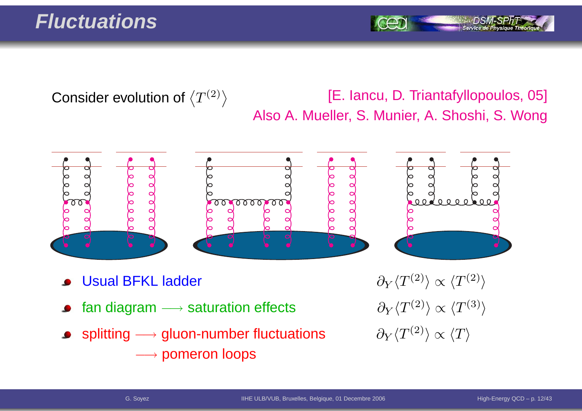#### **Fluctuations**

Consider evolution of  $\left\langle T^{(2)}\right\rangle$ 

#### [E. Iancu, D. Triantafyllopoulos, 05] Also A. Mueller, S. Munier, A. Shoshi, S. Wong



- Usual BFKL ladder
- fan diagram  $\longrightarrow$
- splitting  $\longrightarrow$  $\rightarrow$  gluon-number fluctuations  $\qquad \partial_Y \langle T^{(2)} \rangle \propto \langle T \rangle$ −→ pomeron loops

r and  $\partial_Y$  $\partial_Y \langle T^{(2)} \rangle \propto \langle T^{(2)} \rangle$  $\partial_Y \langle T^{(2)} \rangle \propto \langle T^{(3)} \rangle$ <br> $\partial_Y \langle T^{(2)} \rangle \propto \langle T \rangle$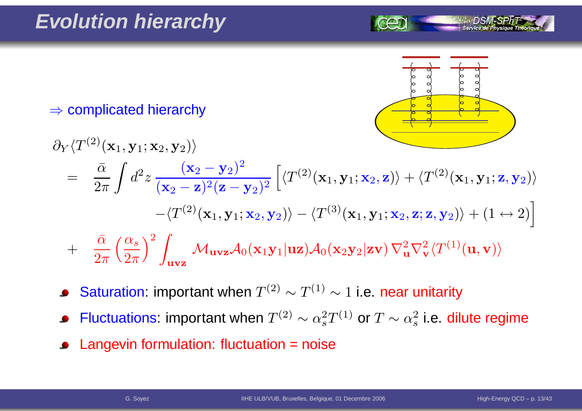

 $\Rightarrow$  complicated hierarchy

$$
\partial_Y \langle T^{(2)}(\mathbf{x}_1, \mathbf{y}_1; \mathbf{x}_2, \mathbf{y}_2) \rangle
$$
\n
$$
= \frac{\bar{\alpha}}{2\pi} \int d^2 z \frac{(\mathbf{x}_2 - \mathbf{y}_2)^2}{(\mathbf{x}_2 - \mathbf{z})^2 (\mathbf{z} - \mathbf{y}_2)^2} \left[ \langle T^{(2)}(\mathbf{x}_1, \mathbf{y}_1; \mathbf{x}_2, \mathbf{z}) \rangle + \langle T^{(2)}(\mathbf{x}_1, \mathbf{y}_1; \mathbf{z}, \mathbf{y}_2) \rangle \right.
$$
\n
$$
- \langle T^{(2)}(\mathbf{x}_1, \mathbf{y}_1; \mathbf{x}_2, \mathbf{y}_2) \rangle - \langle T^{(3)}(\mathbf{x}_1, \mathbf{y}_1; \mathbf{x}_2, \mathbf{z}; \mathbf{z}, \mathbf{y}_2) \rangle + (1 \leftrightarrow 2) \right]
$$
\n
$$
+ \frac{\bar{\alpha}}{2\pi} \left( \frac{\alpha_s}{2\pi} \right)^2 \int_{\mathbf{u} \mathbf{v} \mathbf{z}} \mathcal{M}_{\mathbf{u} \mathbf{v} \mathbf{z}} \mathcal{A}_0(\mathbf{x}_1 \mathbf{y}_1 | \mathbf{u} \mathbf{z}) \mathcal{A}_0(\mathbf{x}_2 \mathbf{y}_2 | \mathbf{z} \mathbf{v}) \nabla_{\mathbf{u}}^2 \nabla_{\mathbf{v}}^2 \langle T^{(1)}(\mathbf{u}, \mathbf{v}) \rangle
$$

- Saturation: important when  $T^{(2)}\sim T^{(1)}\sim 1$  i.e. near unitarity  $\bullet$
- Fluctuations: important when  $T^{(2)}\sim \alpha_s^2$  $_{s}^{2}T^{(1)}$  or  $T\sim\alpha_{s}^{2}$  $\frac{2}{s}$  i.e. dilute regime
- Langevin formulation: fluctuation <sup>=</sup> noise $\bullet$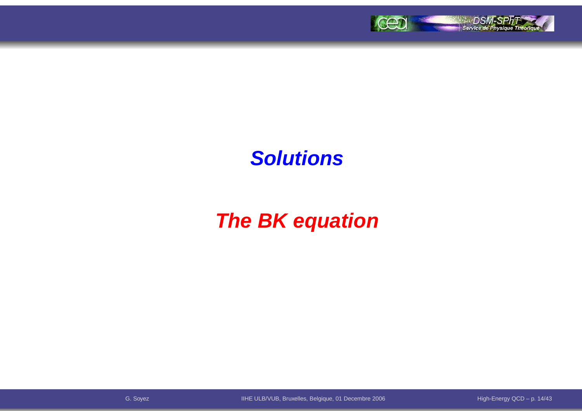

### **Solutions**

# **The BK equation**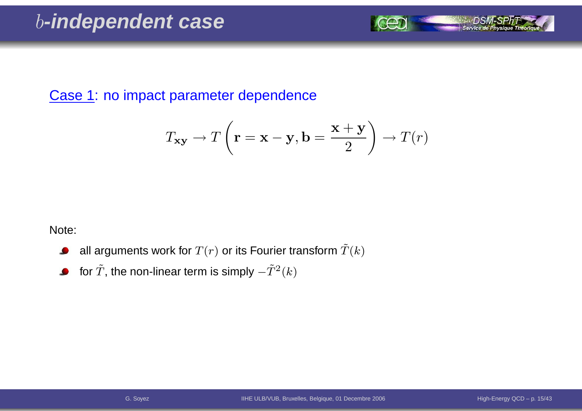Case 1: no impact parameter dependence

$$
T_{\mathbf{xy}} \to T\left(\mathbf{r} = \mathbf{x} - \mathbf{y}, \mathbf{b} = \frac{\mathbf{x} + \mathbf{y}}{2}\right) \to T(r)
$$

Note:

- all arguments work for  $T(r)$  or its Fourier transform  $\tilde T(k)$  $\bullet$
- for  $\tilde{T}$ , the non-linear term is simply  $-\tilde{T}^{2}(k)$  $\bullet$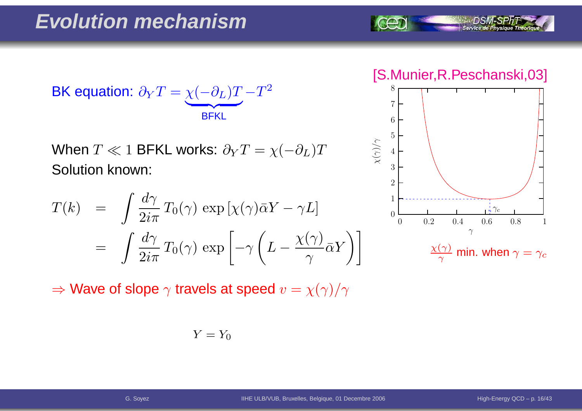$$
\text{BK equation: } \partial_Y T = \underbrace{\chi(-\partial_L)T}_{\text{BFKL}} - T^2
$$

When  $T\ll 1$  BFKL works:  $\partial_{Y}T=\chi($  Solution known:  $-\partial_L)T$ 

$$
T(k) = \int \frac{d\gamma}{2i\pi} T_0(\gamma) \exp\left[\chi(\gamma)\bar{\alpha}Y - \gamma L\right]
$$
  
= 
$$
\int \frac{d\gamma}{2i\pi} T_0(\gamma) \exp\left[-\gamma \left(L - \frac{\chi(\gamma)}{\gamma} \bar{\alpha}Y\right)\right]
$$

 $\Rightarrow$  Wave of slope  $\gamma$  travels at speed  $v=\chi(\gamma)/\gamma$ 

$$
Y = Y_0
$$

[S.Munier,R.Peschanski,03]

Service de Physique Théoriq

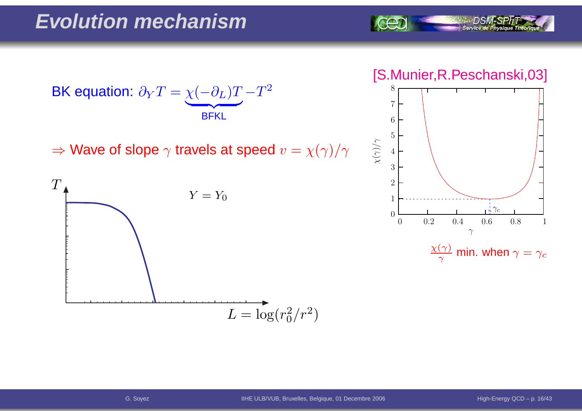

#### [S.Munier,R.Peschanski,03]



$$
\tfrac{\chi(\gamma)}{\gamma}\text{ min. when } \gamma = \gamma_c
$$



 $\Rightarrow$  Wave of slope  $\gamma$  travels at speed  $v=\chi(\gamma)/\gamma$ 

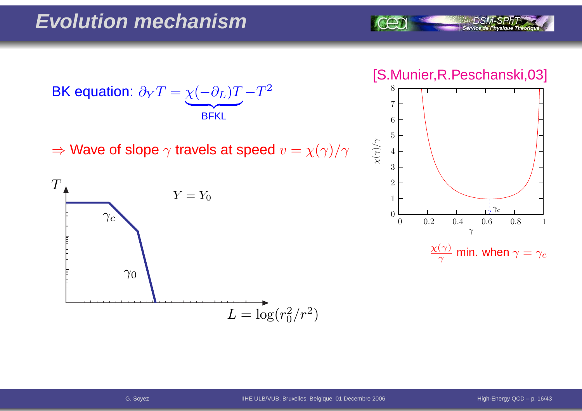

#### [S.Munier,R.Peschanski,03]



 $\frac{\chi(\gamma)}{\gamma}$  min. when  $\gamma=\gamma_c$ 



 $\Rightarrow$  Wave of slope  $\gamma$  travels at speed  $v=\chi(\gamma)/\gamma$ 

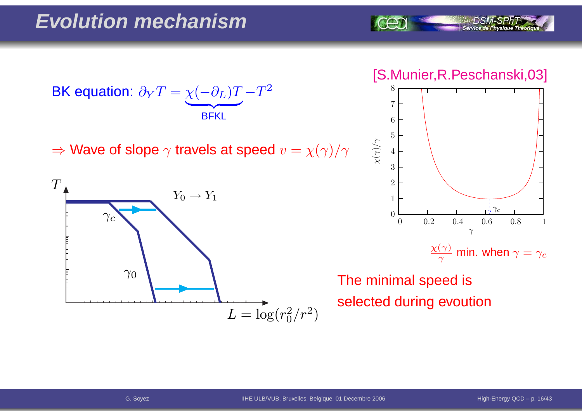BK equation:  $\partial$  $\,$  $\bm{T}$ = $\chi$  $\left($  $\partial$ L)  $\bm{T}$  $\overline{\phantom{a}}$  BFKL− $\bm{T}$ 2

 $\Rightarrow$  Wave of slope  $\gamma$  travels at speed  $v=\chi(\gamma)/\gamma$ 



[S.Munier,R.Peschanski,03]

Service de Physique Théoria



 $\frac{\chi(\gamma)}{\gamma}$  min. when  $\gamma=\gamma_c$ 

The minimal speed isselected during evoution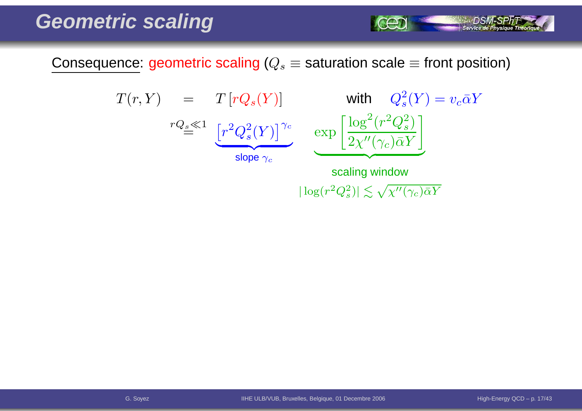Consequence: geometric scaling ( $Q_s\equiv$  saturation scale  $\equiv$  front position)

$$
T(r, Y) = T[rQ_s(Y)] \text{ with } Q_s^2(Y) = v_c \bar{\alpha}Y
$$
  

$$
rQ_s \ll 1 \underbrace{[r^2Q_s^2(Y)]^{\gamma_c}}_{\text{slope } \gamma_c} \exp \left[ \frac{\log^2(r^2Q_s^2)}{2\chi''(\gamma_c)\bar{\alpha}Y} \right]
$$
  
scaling window

 $|\log(r^2Q_s^2)| \lesssim \sqrt{\chi''(\gamma_c)\bar{\alpha}Y}$ 

**SALE OSM-SPRT**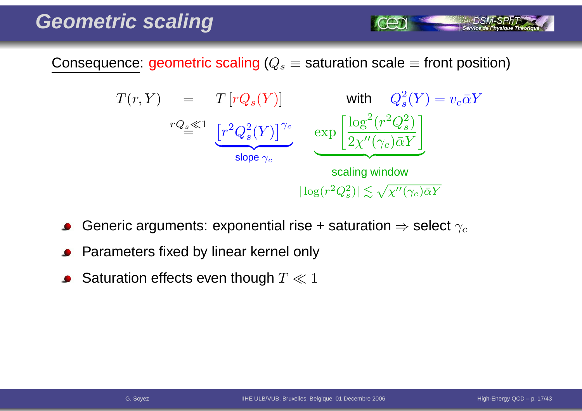Consequence: geometric scaling ( $Q_s\equiv$  saturation scale  $\equiv$  front position)



- Generic arguments: exponential rise + saturation  $\Rightarrow$  select  $\gamma_c$
- Parameters fixed by linear kernel only
- Saturation effects even though  $T \ll 1$

Service de Ph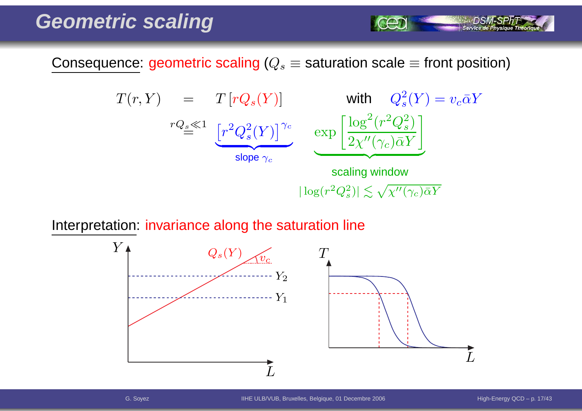Consequence: geometric scaling ( $Q_s\equiv$  saturation scale  $\equiv$  front position)

$$
T(r, Y) = T[rQ_s(Y)] \text{ with } Q_s^2(Y) = v_c \bar{\alpha}Y
$$
  
\n
$$
rQ_s \ll 1 \underbrace{[r^2Q_s^2(Y)]^{\gamma_c}}_{\text{slope } \gamma_c} \underbrace{\exp\left[\frac{\log^2(r^2Q_s^2)}{2\chi''(\gamma_c)\bar{\alpha}Y}\right]}_{\text{scaling window}}
$$
  
\n
$$
|\log(r^2Q_s^2)| \lesssim \sqrt{\chi''(\gamma_c)\bar{\alpha}Y}
$$

Interpretation: invariance along the saturation line



Service de Physique Théoriq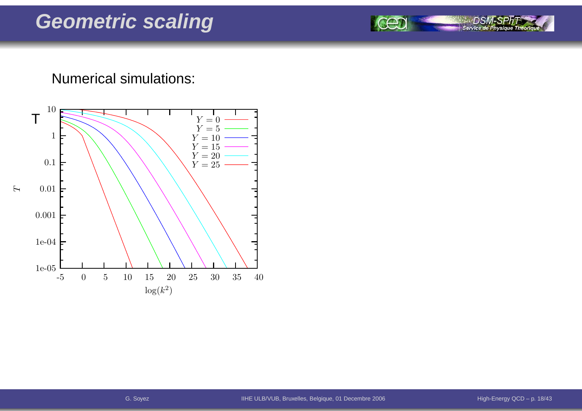#### DSN Service de Physique Théorique

#### Numerical simulations:

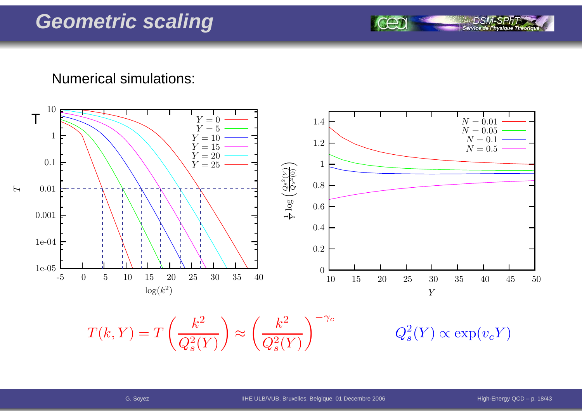Numerical simulations:



Service de Ph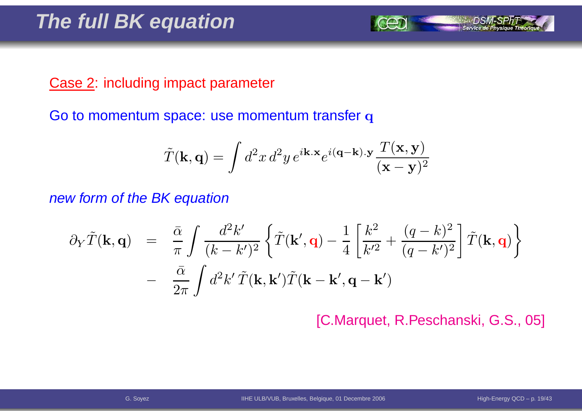#### Case 2: including impact parameter

Go to momentum space: use momentum transfer  ${\bf q}$ 

$$
\tilde{T}(\mathbf{k}, \mathbf{q}) = \int d^2x \, d^2y \, e^{i\mathbf{k} \cdot \mathbf{x}} e^{i(\mathbf{q} - \mathbf{k}) \cdot \mathbf{y}} \frac{T(\mathbf{x}, \mathbf{y})}{(\mathbf{x} - \mathbf{y})^2}
$$

new form of the BK equation

$$
\partial_Y \tilde{T}(\mathbf{k}, \mathbf{q}) = \frac{\bar{\alpha}}{\pi} \int \frac{d^2 k'}{(k - k')^2} \left\{ \tilde{T}(\mathbf{k}', \mathbf{q}) - \frac{1}{4} \left[ \frac{k^2}{k'^2} + \frac{(q - k)^2}{(q - k')^2} \right] \tilde{T}(\mathbf{k}, \mathbf{q}) \right\} - \frac{\bar{\alpha}}{2\pi} \int d^2 k' \tilde{T}(\mathbf{k}, \mathbf{k}') \tilde{T}(\mathbf{k} - \mathbf{k}', \mathbf{q} - \mathbf{k}')
$$

[C.Marquet, R.Peschanski, G.S., 05]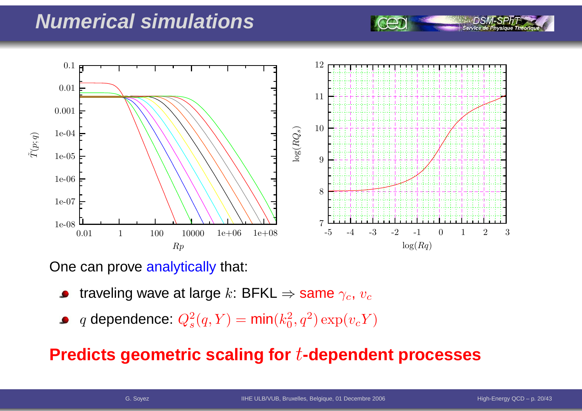### **Numerical simulations**



One can prove <mark>analytically</mark> that:

- traveling wave at large  $k$ : BFKL  $\Rightarrow$  same  $\gamma_c$ ,  $v_c$
- $q$  dependence:  $Q_s^2$  $s^2(q,Y) = \textsf{min}(k_0^2)$  $_0^2, q^2) \exp(v_c Y)$

#### **Predicts geometric scaling for**t**-dependent processes**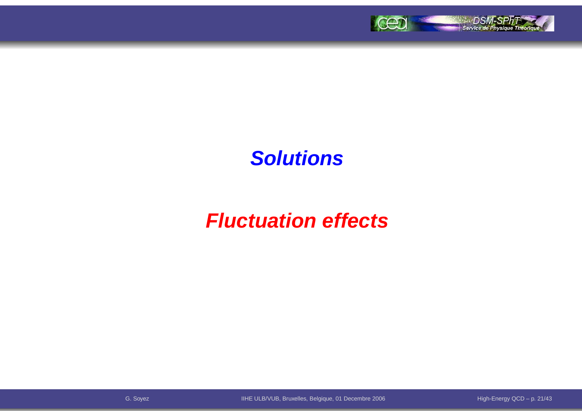

### **Solutions**

# **Fluctuation effects**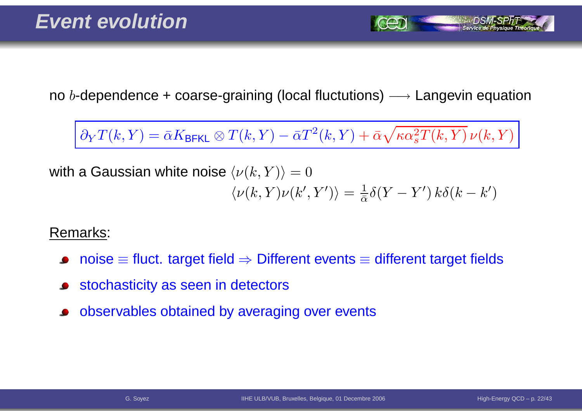no  $b$ -dependence + coarse-graining (local fluctutions)  $\longrightarrow$  Langevin equation

 $∂<sub>Y</sub>T(k,Y) = \bar{\alpha}K_{\text{BFKL}} ⊗ T(k,Y) - \bar{\alpha}T^{2}(k,Y) + \bar{\alpha}\sqrt{\kappa\alpha_{s}^{2}T(k,Y)}\,\nu(k,Y)$ 

with a Gaussian white noise  $\langle \nu(k,Y) \rangle = 0$  $\langle \nu(k,Y) \nu(k',Y') \rangle = \frac{1}{\bar{\alpha}} \delta(Y-Y') k \delta(k-k')$ 

Remarks:

- $\mathsf{noise} \equiv \mathsf{fluct}.$  target field  $\Rightarrow$  Different events  $\equiv$  different target fields
- stochasticity as seen in detectors
- observables obtained by averaging over events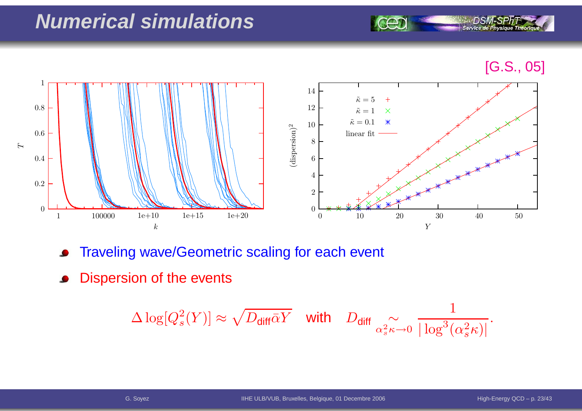# **Numerical simulations**

[G.S., 05]

Service de Physique Théoriq



- Traveling wave/Geometric scaling for each event  $\bullet$
- Dispersion of the events

$$
\Delta \log[Q_s^2(Y)] \approx \sqrt{D_{\text{diff}}\bar{\alpha}Y} \quad \text{with} \quad D_{\text{diff}} \underset{\alpha_s^2 \kappa \to 0}{\sim} \frac{1}{|\log^3(\alpha_s^2 \kappa)|}.
$$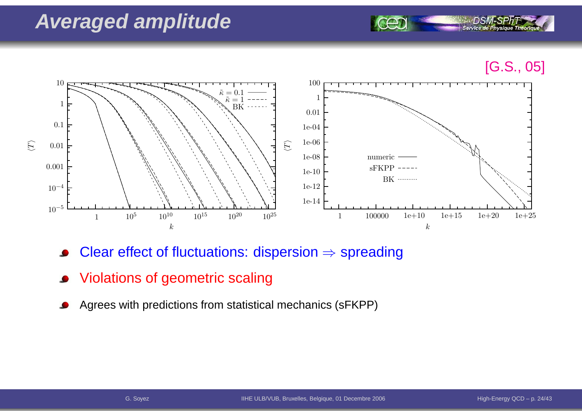### **Averaged amplitude**





- Clear effect of fluctuations: dispersion  $\Rightarrow$  spreading
- Violations of geometric scaling
- Agrees with predictions from statistical mechanics (sFKPP)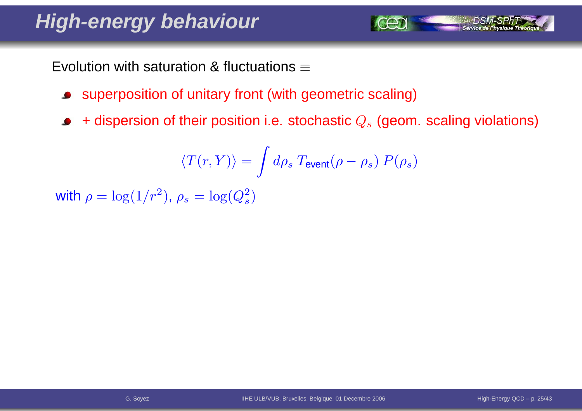# **High-energy behaviour**

Evolution with saturation & fluctuations  $\equiv$ 

- superposition of unitary front (with geometric scaling)
- + dispersion of their position i.e. stochastic  $Q_s$  (geom. scaling violations)  $\bullet$

$$
\langle T(r,Y) \rangle = \int d\rho_s \; T_{\rm event}(\rho-\rho_s) \; P(\rho_s)
$$

with  $\rho = \log(1/r^2)$  $^2$ ),  $\rho_s=\log(Q_s^2)$  $\left( \frac{2}{s}\right)$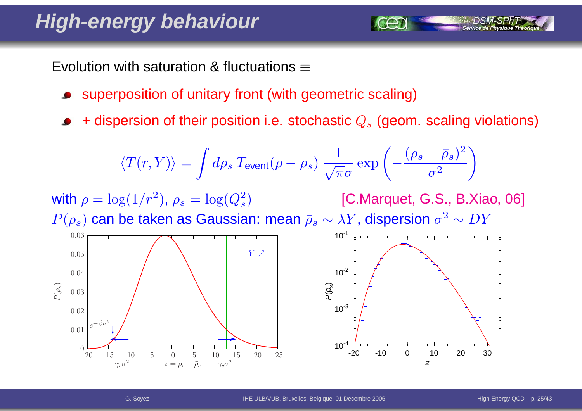# **High-energy behaviour**

Evolution with saturation & fluctuations  $\equiv$ 

- superposition of unitary front (with geometric scaling)
- + dispersion of their position i.e. stochastic  $Q_s$  (geom. scaling violations)

$$
\langle T(r,Y) \rangle = \int d\rho_s \, T_{\text{event}}(\rho - \rho_s) \, \frac{1}{\sqrt{\pi}\sigma} \exp\left(-\frac{(\rho_s - \bar{\rho}_s)^2}{\sigma^2}\right)
$$

with  $\rho = \log(1/r^2)$  $^2$ ),  $\rho_s=\log(Q_s^2)$  $P(\rho_s)$  can be taken as Gaussian: mean  $\bar \rho_s \sim \lambda Y$ , dispersion  $\sigma^2$  $\left( \frac{2}{s}\right)$  [C.Marquet, G.S., B.Xiao, 06]  $^2 \sim DY$ 

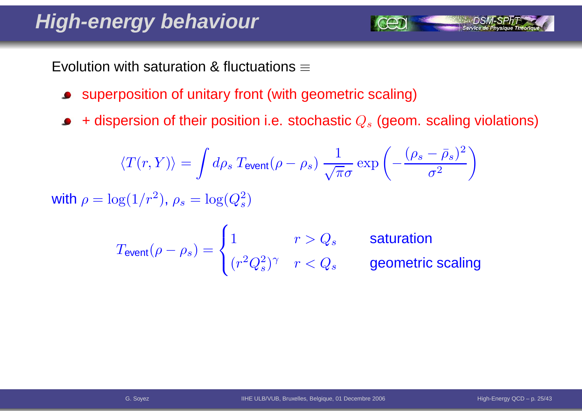# **High-energy behaviour**

Evolution with saturation & fluctuations  $\equiv$ 

- superposition of unitary front (with geometric scaling) $\bullet$
- + dispersion of their position i.e. stochastic  $Q_s$  (geom. scaling violations)  $\bullet$

$$
\langle T(r,Y)\rangle = \int d\rho_s \, T_{\text{event}}(\rho - \rho_s) \, \frac{1}{\sqrt{\pi}\sigma} \exp\left(-\frac{(\rho_s - \bar{\rho}_s)^2}{\sigma^2}\right)
$$
\nwith  $\rho = \log(1/r^2)$ ,  $\rho_s = \log(Q_s^2)$ 

$$
T_{\text{event}}(\rho - \rho_s) = \begin{cases} 1 & r > Q_s \\ (r^2 Q_s^2)^\gamma & r < Q_s \end{cases}
$$
 \quad \text{saturation} \quad \text{geometric scaling}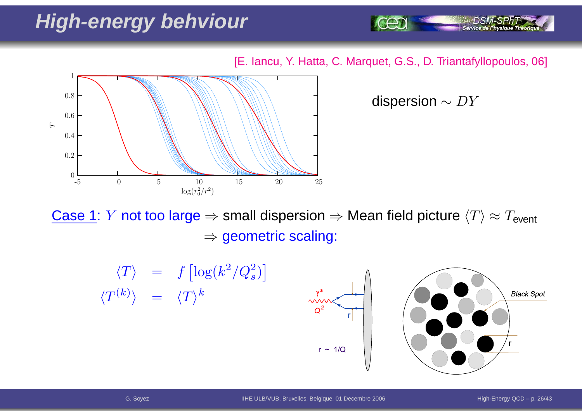# **High-energy behviour**

[E. Iancu, Y. Hatta, C. Marquet, G.S., D. Triantafyllopoulos, 06]



dispersion  $\sim DY$ 

Service de Physique Théoriq

<u>Case 1</u>: *Y* not too large ⇒ small dispersion ⇒ Mean field picture  $\langle T \rangle \approx T_{\sf event}$  $\Rightarrow$  geometric scaling:

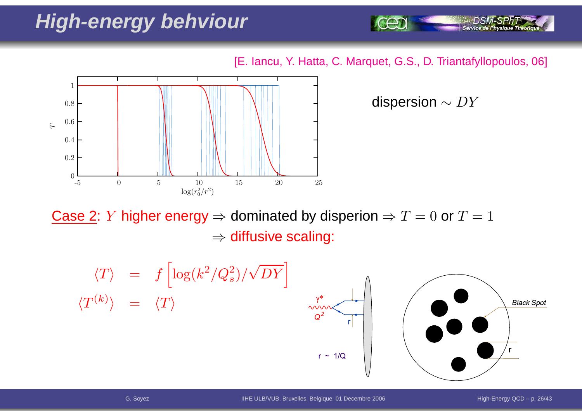# **High-energy behviour**

[E. Iancu, Y. Hatta, C. Marquet, G.S., D. Triantafyllopoulos, 06]



dispersion  $\sim DY$ 

Service de Physique Théoriq

Case 2: *Y* higher energy ⇒ dominated by disperion ⇒  $T = 0$  or  $T = 1$  $\Rightarrow$  diffusive scaling:

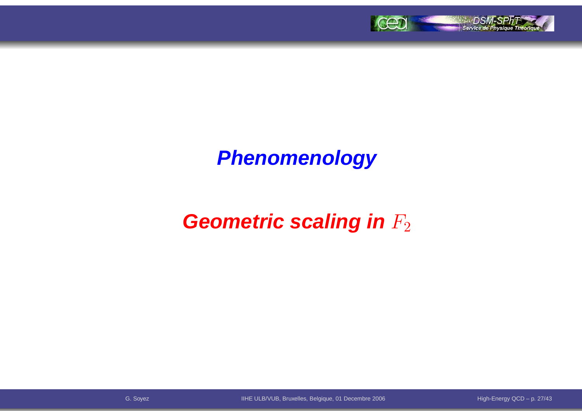

# **Phenomenology**

# **Geometric scaling in**  $F_2$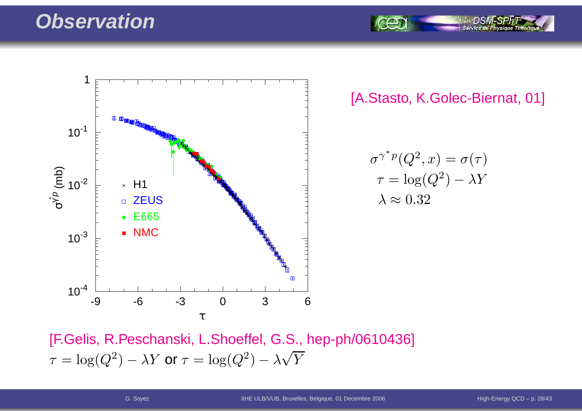#### **Observation**



[A.Stasto, K.Golec-Biernat, 01]

Service de P

$$
\sigma^{\gamma^* p}(Q^2, x) = \sigma(\tau)
$$

$$
\tau = \log(Q^2) - \lambda Y
$$

$$
\lambda \approx 0.32
$$

[F.Gelis, R.Peschanski, L.Shoeffel, G.S., hep-ph/0610436]  $\tau$  $\tau = \log(Q^2) - \lambda Y$  or  $\tau = \log(Q^2) - \lambda \sqrt{Y}$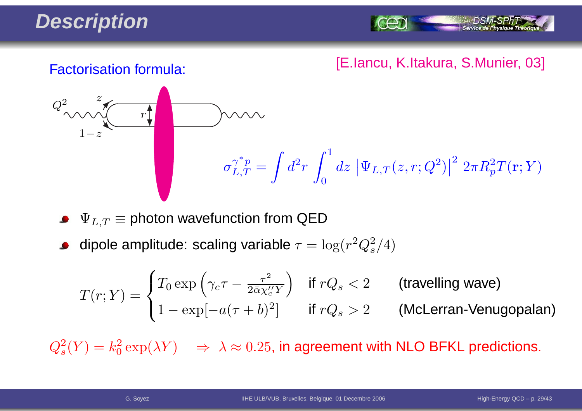# **Description**

Service de Ph

#### [E.Iancu, K.Itakura, S.Munier, 03] Factorisation formula:



 $\Psi_{L,T} \equiv$  photon wavefunction from QED

dipole amplitude: scaling variable  $\tau = \log(r^2 Q_s^2/4)$ 

$$
T(r;Y) = \begin{cases} T_0 \exp\left(\gamma_c \tau - \frac{\tau^2}{2\bar{\alpha}\chi_c''Y}\right) & \text{if } rQ_s < 2 \\ 1 - \exp[-a(\tau + b)^2] & \text{if } rQ_s > 2 \end{cases} \quad \text{(McLerran-Venugopalan)}
$$

 $Q_s^2(Y) = k_0^2 \exp(\lambda Y) \quad \Rightarrow \; \lambda \approx 0.25$ , in agreement with NLO BFKL predictions.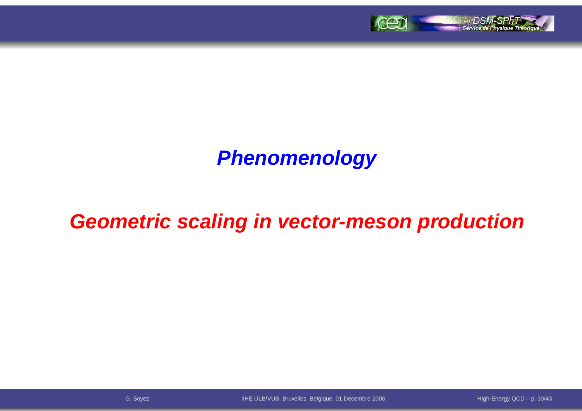

# **Phenomenology**

## **Geometric scaling in vector-meson production**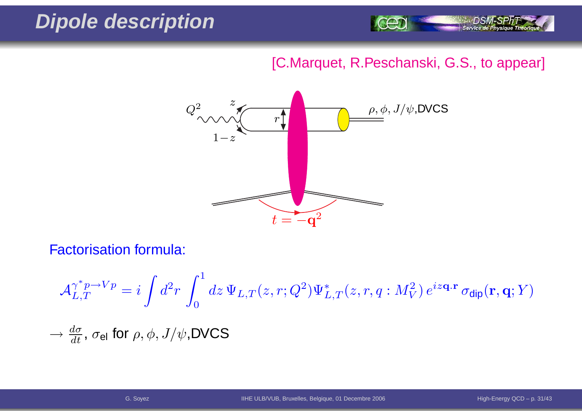# **Dipole description**



#### [C.Marquet, R.Peschanski, G.S., to appear]



Factorisation formula:

$$
\begin{aligned}\n\mathcal{A}_{L,T}^{\gamma^*p \to Vp} &= i \int d^2r \int_0^1 dz \, \Psi_{L,T}(z,r;Q^2) \Psi_{L,T}^*(z,r,q:M_V^2) \, e^{iz\mathbf{q}.\mathbf{r}} \, \sigma_{\text{dip}}(\mathbf{r},\mathbf{q};Y) \\
&\to \frac{d\sigma}{dt}, \, \sigma_{\text{el}} \text{ for } \rho, \phi, J/\psi, \text{DVCS}\n\end{aligned}
$$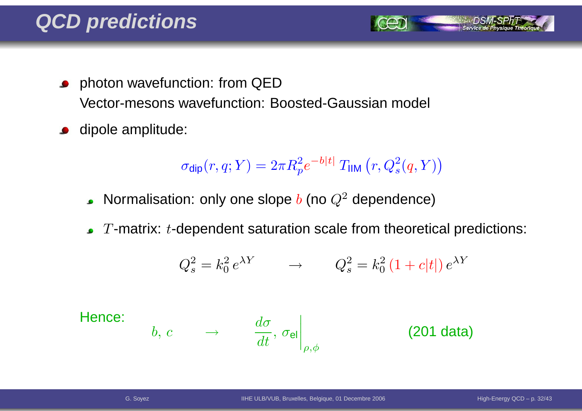- **•** photon wavefunction: from QED Vector-mesons wavefunction: Boosted-Gaussian model
- dipole amplitude:  $\bullet$

$$
\sigma_{\text{dip}}(r, q; Y) = 2\pi R_p^2 e^{-b|t|} T_{\text{IIM}}(r, Q_s^2(q, Y))
$$

- Normalisation: only one slope  $b$  (no  $Q^2$  dependence)
- $T$ -matrix:  $t$ -dependent saturation scale from theoretical predictions:

$$
Q_s^2 = k_0^2 e^{\lambda Y} \qquad \rightarrow \qquad Q_s^2 = k_0^2 \left(1 + c|t|\right) e^{\lambda Y}
$$

Hence:

$$
b, c \qquad \rightarrow \qquad \left. \frac{d\sigma}{dt}, \, \sigma_{\mathsf{el}} \right|_{\rho, \phi} \qquad \qquad \textbf{(201 data)}
$$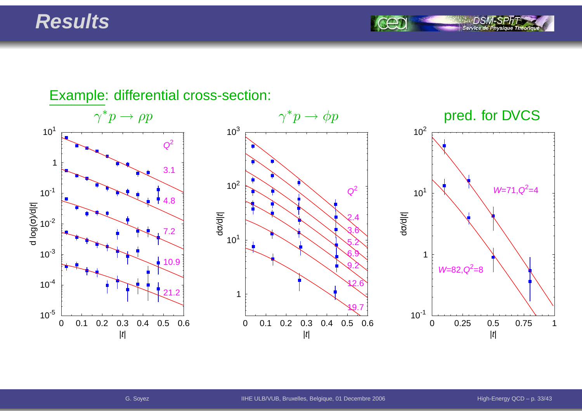#### **Results**

Service de Ph

#### Example: differential cross-section:  $\gamma^* p \to$  $\gamma^* p \to \phi p$  pred. for DVCS 0 0.1 0.2 0.3 0.4 0.5 0.6|t| $10^{-5}$  $10^{-4}$  $10^{-3}$  $10^{-2}$  $10^{-1}$ 1 $10<sup>1</sup>$ d log( σচি र<br>ए  $\begin{array}{|c|c|c|}\n\hline\n1 & 3.1 \\
\hline\n10^{-1} & 3.1 \\
\hline\n\end{array}$ 7.210.921.20 0.1 0.2 0.3 0.4 0.5 0.6|t|110<sup>1</sup>  $10^2$  $10^{3}$ dσ/d| t<sup>|</sup> $\begin{array}{c}\n\begin{array}{ccc}\n\bullet & \bullet & \bullet & \bullet \\
\hline\n\bullet & \bullet & \bullet & \bullet\n\end{array}\n\end{array}$ 3.65.26.99.212.619.70 0.25 0.5 0.75 1 $|t|$  $10^{-1}$ 110<sup>1</sup>  $10^{2}$ dσ/d| t<sup>|</sup> $W=71, Q^2=4$  $W=82, Q^2=8$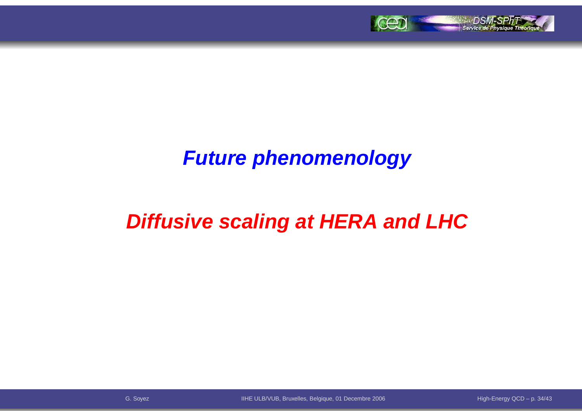

### **Future phenomenology**

# **Diffusive scaling at HERA and LHC**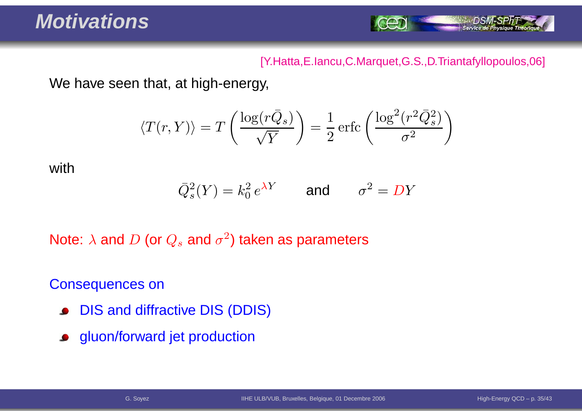### **Motivations**



#### [Y.Hatta,E.Iancu,C.Marquet,G.S.,D.Triantafyllopoulos,06]

We have seen that, at high-energy,

$$
\langle T(r,Y) \rangle = T\left(\frac{\log(r\bar{Q}_s)}{\sqrt{Y}}\right) = \frac{1}{2} \operatorname{erfc}\left(\frac{\log^2(r^2 \bar{Q}_s^2)}{\sigma^2}\right)
$$

with

$$
\overline{Q}_s^2(Y) = k_0^2 e^{\lambda Y} \qquad \text{and} \qquad \sigma^2 = DY
$$

Note:  $\lambda$  and  $D$  (or  $Q_s$  and  $\sigma^2$ ) taken as parameters

Consequences on

- DIS and diffractive DIS (DDIS) $\bullet$
- gluon/forward jet production $\bullet$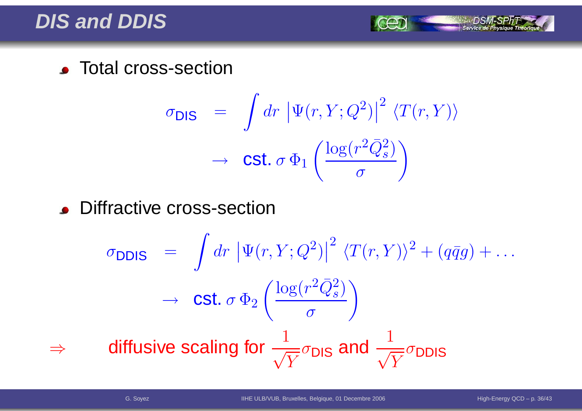#### **DIS and DDIS**

**CENTED Total cross-section** 

$$
\sigma_{\text{DIS}} = \int dr \, |\Psi(r, Y; Q^2)|^2 \, \langle T(r, Y) \rangle
$$

$$
\rightarrow \text{Cst. } \sigma \, \Phi_1 \left( \frac{\log(r^2 \bar{Q}_s^2)}{\sigma} \right)
$$

**.** Diffractive cross-section

$$
\sigma_{\text{DDIS}} = \int dr \left| \Psi(r, Y; Q^2) \right|^2 \langle T(r, Y) \rangle^2 + (q\bar{q}g) + \dots
$$
\n
$$
\rightarrow \text{Cst. } \sigma \Phi_2 \left( \frac{\log(r^2 \bar{Q}_s^2)}{\sigma} \right)
$$
\n
$$
\Rightarrow \text{diffusive scaling for } \frac{1}{\sqrt{Y}} \sigma_{\text{DIS}} \text{ and } \frac{1}{\sqrt{Y}} \sigma_{\text{DDIS}}
$$

⇒

Service de Physique Théoriq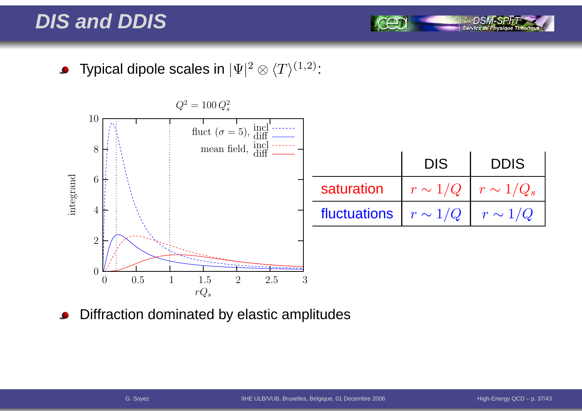### **DIS and DDIS**

Typical dipole scales in  $|\Psi|^2\otimes \langle T\rangle^{(1,2)}$ :  $\bullet$ 



Diffraction dominated by elastic amplitudes

Service de Phy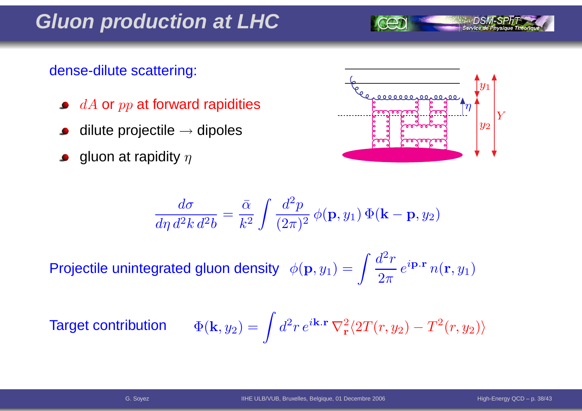#### **Gluon production at LHC**

#### dense-dilute scattering:

- $dA$  or  $pp$  at forward rapidities
- dilute projectile  $\rightarrow$  dipoles
- gluon at rapidity  $\eta$



$$
\frac{d\sigma}{d\eta d^2k d^2b} = \frac{\bar{\alpha}}{k^2} \int \frac{d^2p}{(2\pi)^2} \phi(\mathbf{p}, y_1) \Phi(\mathbf{k} - \mathbf{p}, y_2)
$$

Projectile unintegrated gluon density  $\phi$  $({\bf p},y_1) =$  $\int \frac{d}{2}$ 2- $r\,$  $\overline{2\pi}$  $\,e\,$  $^{i{\bf p}.{\bf r}}$   $n$  $(\mathbf{r},y_1$ 1 $\binom{1}{1}$ 

**Target contribute** 

$$
\text{ibution} \qquad \Phi(\mathbf{k},y_2) = \int d^2 r \, e^{i\mathbf{k}.\mathbf{r}} \, \nabla_\mathbf{r}^2 \langle 2T(r,y_2) - T^2(r,y_2) \rangle
$$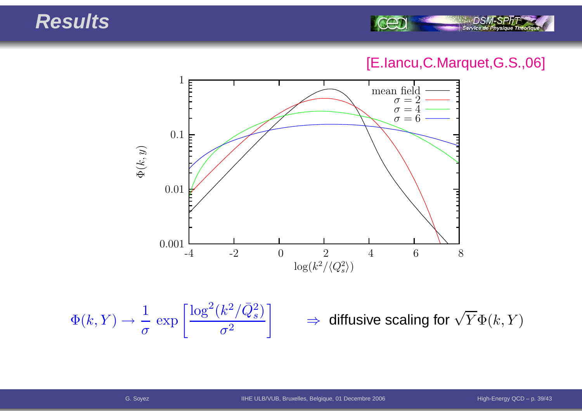#### **Results**



#### [E.Iancu,C.Marquet,G.S.,06]



 $\Phi(k,Y) \to$  $\rightarrow \frac{1}{\sigma}$ exp $p\left[\frac{\log^2(k^2/\bar{Q}_s^2)}{\sigma^2}\right] \Rightarrow$ 

 $\Rightarrow$  diffusive scaling for  $\sqrt{Y}\Phi(k,Y)$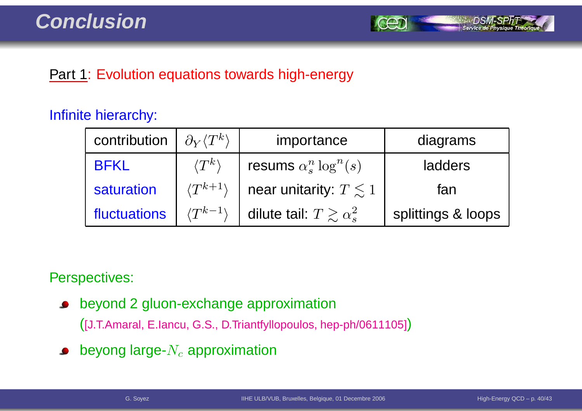

#### **Part 1: Evolution equations towards high-energy**

#### Infinite hierarchy:

| contribution | $\partial_Y \langle T^k \rangle$ | importance                          | diagrams           |
|--------------|----------------------------------|-------------------------------------|--------------------|
| <b>BFKL</b>  | $\langle T^k\rangle$             | resums $\alpha_s^n \log^n(s)$       | ladders            |
| saturation   | $\langle T^{k+1} \rangle$        | near unitarity: $T \leq 1$          | fan                |
| fluctuations | $\langle T^{k-1} \rangle$        | dilute tail: $T \gtrsim \alpha_s^2$ | splittings & loops |

Perspectives:

beyond 2 gluon-exchange approximation $\bullet$ 

([J.T.Amaral, E.Iancu, G.S., D.Triantfyllopoulos, hep-ph/0611105])

beyong large- $N_c$  approximation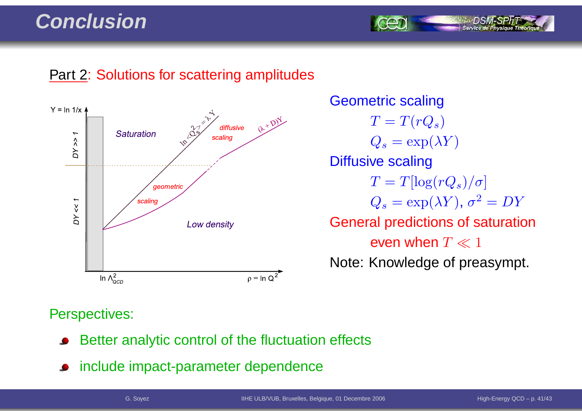#### **Conclusion**

#### **Part 2: Solutions for scattering amplitudes**



Geometric scaling $T=T(rQ_s)$  $Q_s = \exp(\lambda Y)$ Diffusive scaling $T = T[\log(rQ_s)/\sigma]$  $Q_s = \exp(\lambda Y), \, \sigma^2 = D Y$ General predictions of saturationeven when  $T \ll 1$ Note: Knowledge of preasympt.

#### Perspectives:

- Better analytic control of the fluctuation effects
- include impact-parameter dependence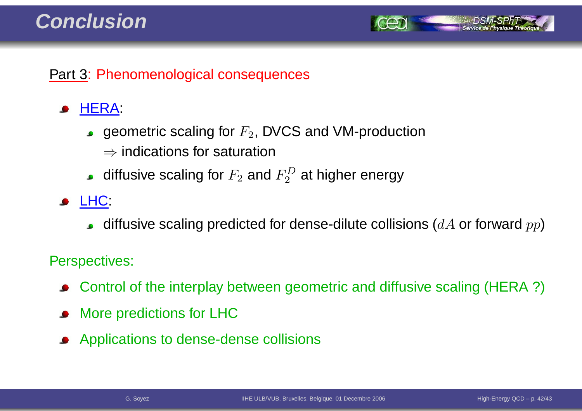#### **Conclusion**



#### Part 3: Phenomenological consequences

#### HERA:

- geometric scaling for  $F_2$ , DVCS and VM-production
	- $\Rightarrow$  indications for saturation
- diffusive scaling for  $F_2$  and  $F_2^D$  at higher energy
- **JELHC:** 
	- diffusive scaling predicted for dense-dilute collisions ( $dA$  or forward  $pp$ )

#### Perspectives:

- Control of the interplay between geometric and diffusive scaling (HERA ?)
- More predictions for LHC
- Applications to dense-dense collisions